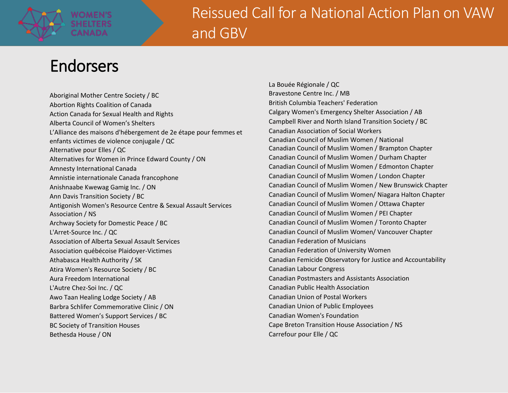

# Endorsers

Aboriginal Mother Centre Society / BC Abortion Rights Coalition of Canada Action Canada for Sexual Health and Rights Alberta Council of Women's Shelters L'Alliance des maisons d'hébergement de 2e étape pour femmes et enfants victimes de violence conjugale / QC Alternative pour Elles / QC Alternatives for Women in Prince Edward County / ON Amnesty International Canada Amnistie internationale Canada francophone Anishnaabe Kwewag Gamig Inc. / ON Ann Davis Transition Society / BC Antigonish Women's Resource Centre & Sexual Assault Services Association / NS Archway Society for Domestic Peace / BC L'Arret-Source Inc. / QC Association of Alberta Sexual Assault Services Association québécoise Plaidoyer-Victimes Athabasca Health Authority / SK Atira Women's Resource Society / BC Aura Freedom International L'Autre Chez-Soi Inc. / QC Awo Taan Healing Lodge Society / AB Barbra Schlifer Commemorative Clinic / ON Battered Women's Support Services / BC BC Society of Transition Houses Bethesda House / ON

La Bouée Régionale / QC Bravestone Centre Inc. / MB British Columbia Teachers' Federation Calgary Women's Emergency Shelter Association / AB Campbell River and North Island Transition Society / BC Canadian Association of Social Workers Canadian Council of Muslim Women / National Canadian Council of Muslim Women / Brampton Chapter Canadian Council of Muslim Women / Durham Chapter Canadian Council of Muslim Women / Edmonton Chapter Canadian Council of Muslim Women / London Chapter Canadian Council of Muslim Women / New Brunswick Chapter Canadian Council of Muslim Women/ Niagara Halton Chapter Canadian Council of Muslim Women / Ottawa Chapter Canadian Council of Muslim Women / PEI Chapter Canadian Council of Muslim Women / Toronto Chapter Canadian Council of Muslim Women/ Vancouver Chapter Canadian Federation of Musicians Canadian Federation of University Women Canadian Femicide Observatory for Justice and Accountability Canadian Labour Congress Canadian Postmasters and Assistants Association Canadian Public Health Association Canadian Union of Postal Workers Canadian Union of Public Employees Canadian Women's Foundation Cape Breton Transition House Association / NS Carrefour pour Elle / QC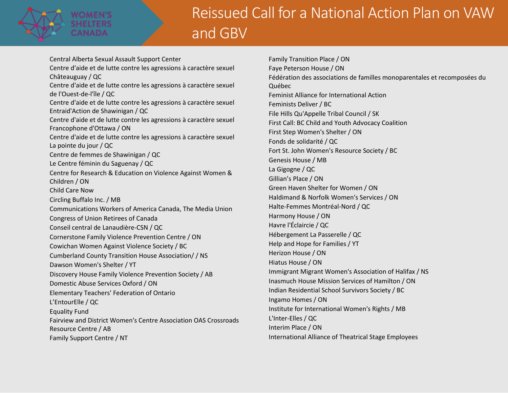

Central Alberta Sexual Assault Support Center Centre d'aide et de lutte contre les agressions à caractère sexuel Châteauguay / QC Centre d'aide et de lutte contre les agressions à caractère sexuel de l'Ouest-de-l'île / QC Centre d'aide et de lutte contre les agressions à caractère sexuel Entraid'Action de Shawinigan / QC Centre d'aide et de lutte contre les agressions à caractère sexuel Francophone d'Ottawa / ON Centre d'aide et de lutte contre les agressions à caractère sexuel La pointe du jour / QC Centre de femmes de Shawinigan / QC Le Centre féminin du Saguenay / QC Centre for Research & Education on Violence Against Women & Children / ON Child Care Now Circling Buffalo Inc. / MB Communications Workers of America Canada, The Media Union Congress of Union Retirees of Canada Conseil central de Lanaudière-CSN / QC Cornerstone Family Violence Prevention Centre / ON Cowichan Women Against Violence Society / BC Cumberland County Transition House Association/ / NS Dawson Women's Shelter / YT Discovery House Family Violence Prevention Society / AB Domestic Abuse Services Oxford / ON Elementary Teachers' Federation of Ontario L'EntourElle / QC Equality Fund Fairview and District Women's Centre Association OAS Crossroads Resource Centre / AB Family Support Centre / NT

Family Transition Place / ON Faye Peterson House / ON Fédération des associations de familles monoparentales et recomposées du Québec Feminist Alliance for International Action Feminists Deliver / BC File Hills Qu'Appelle Tribal Council / SK First Call: BC Child and Youth Advocacy Coalition First Step Women's Shelter / ON Fonds de solidarité / QC Fort St. John Women's Resource Society / BC Genesis House / MB La Gigogne / QC Gillian's Place / ON Green Haven Shelter for Women / ON Haldimand & Norfolk Women's Services / ON Halte-Femmes Montréal-Nord / QC Harmony House / ON Havre l'Éclaircie / QC Hébergement La Passerelle / QC Help and Hope for Families / YT Herizon House / ON Hiatus House / ON Immigrant Migrant Women's Association of Halifax / NS Inasmuch House Mission Services of Hamilton / ON Indian Residential School Survivors Society / BC Ingamo Homes / ON Institute for International Women's Rights / MB L'Inter-Elles / QC Interim Place / ON International Alliance of Theatrical Stage Employees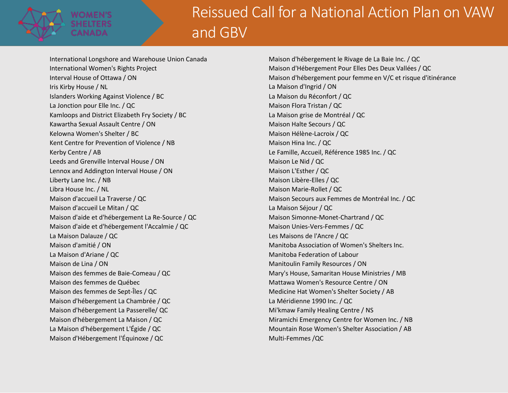

International Longshore and Warehouse Union Canada International Women's Rights Project Interval House of Ottawa / ON Iris Kirby House / NL Islanders Working Against Violence / BC La Jonction pour Elle Inc. / QC Kamloops and District Elizabeth Fry Society / BC Kawartha Sexual Assault Centre / ON Kelowna Women's Shelter / BC Kent Centre for Prevention of Violence / NB Kerby Centre / AB Leeds and Grenville Interval House / ON Lennox and Addington Interval House / ON Liberty Lane Inc. / NB Libra House Inc. / NL Maison d'accueil La Traverse / QC Maison d'accueil Le Mitan / QC Maison d'aide et d'hébergement La Re-Source / QC Maison d'aide et d'hébergement l'Accalmie / QC La Maison Dalauze / QC Maison d'amitié / ON La Maison d'Ariane / QC Maison de Lina / ON Maison des femmes de Baie-Comeau / QC Maison des femmes de Québec Maison des femmes de Sept-Îles / QC Maison d'hébergement La Chambrée / QC Maison d'hébergement La Passerelle/ QC Maison d'hébergement La Maison / QC La Maison d'hébergement L'Égide / QC Maison d'Hébergement l'Équinoxe / QC

Maison d'hébergement le Rivage de La Baie Inc. / QC Maison d'Hébergement Pour Elles Des Deux Vallées / QC Maison d'hébergement pour femme en V/C et risque d'itinérance La Maison d'Ingrid / ON La Maison du Réconfort / QC Maison Flora Tristan / QC La Maison grise de Montréal / QC Maison Halte Secours / QC Maison Hélène-Lacroix / QC Maison Hina Inc. / QC Le Famille, Accueil, Référence 1985 Inc. / QC Maison Le Nid / QC Maison L'Esther / QC Maison Libère-Elles / QC Maison Marie-Rollet / QC Maison Secours aux Femmes de Montréal Inc. / QC La Maison Séjour / QC Maison Simonne-Monet-Chartrand / QC Maison Unies-Vers-Femmes / QC Les Maisons de l'Ancre / QC Manitoba Association of Women's Shelters Inc. Manitoba Federation of Labour Manitoulin Family Resources / ON Mary's House, Samaritan House Ministries / MB Mattawa Women's Resource Centre / ON Medicine Hat Women's Shelter Society / AB La Méridienne 1990 Inc. / QC Mi'kmaw Family Healing Centre / NS Miramichi Emergency Centre for Women Inc. / NB Mountain Rose Women's Shelter Association / AB Multi-Femmes /QC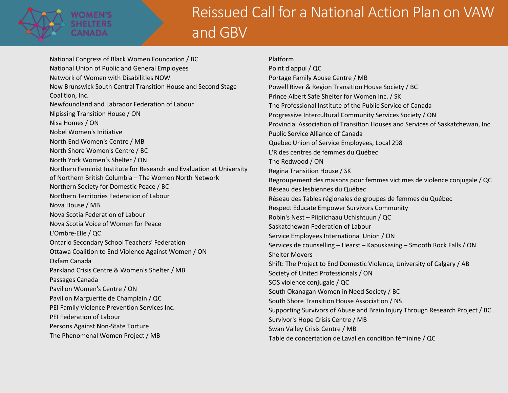

National Congress of Black Women Foundation / BC National Union of Public and General Employees Network of Women with Disabilities NOW New Brunswick South Central Transition House and Second Stage Coalition, Inc. Newfoundland and Labrador Federation of Labour Nipissing Transition House / ON Nisa Homes / ON Nobel Women's Initiative North End Women's Centre / MB North Shore Women's Centre / BC North York Women's Shelter / ON Northern Feminist Institute for Research and Evaluation at University of Northern British Columbia – The Women North Network Northern Society for Domestic Peace / BC Northern Territories Federation of Labour Nova House / MB Nova Scotia Federation of Labour Nova Scotia Voice of Women for Peace L'Ombre-Elle / QC Ontario Secondary School Teachers' Federation Ottawa Coalition to End Violence Against Women / ON Oxfam Canada Parkland Crisis Centre & Women's Shelter / MB Passages Canada Pavilion Women's Centre / ON Pavillon Marguerite de Champlain / QC PEI Family Violence Prevention Services Inc. PEI Federation of Labour Persons Against Non-State Torture The Phenomenal Women Project / MB

Platform Point d'appui / QC Portage Family Abuse Centre / MB Powell River & Region Transition House Society / BC Prince Albert Safe Shelter for Women Inc. / SK The Professional Institute of the Public Service of Canada Progressive Intercultural Community Services Society / ON Provincial Association of Transition Houses and Services of Saskatchewan, Inc. Public Service Alliance of Canada Quebec Union of Service Employees, Local 298 L'R des centres de femmes du Québec The Redwood / ON Regina Transition House / SK Regroupement des maisons pour femmes victimes de violence conjugale / QC Réseau des lesbiennes du Québec Réseau des Tables régionales de groupes de femmes du Québec Respect Educate Empower Survivors Community Robin's Nest – Piipiichaau Uchishtuun / QC Saskatchewan Federation of Labour Service Employees International Union / ON Services de counselling – Hearst – Kapuskasing – Smooth Rock Falls / ON Shelter Movers Shift: The Project to End Domestic Violence, University of Calgary / AB Society of United Professionals / ON SOS violence conjugale / QC South Okanagan Women in Need Society / BC South Shore Transition House Association / NS Supporting Survivors of Abuse and Brain Injury Through Research Project / BC Survivor's Hope Crisis Centre / MB Swan Valley Crisis Centre / MB Table de concertation de Laval en condition féminine / QC